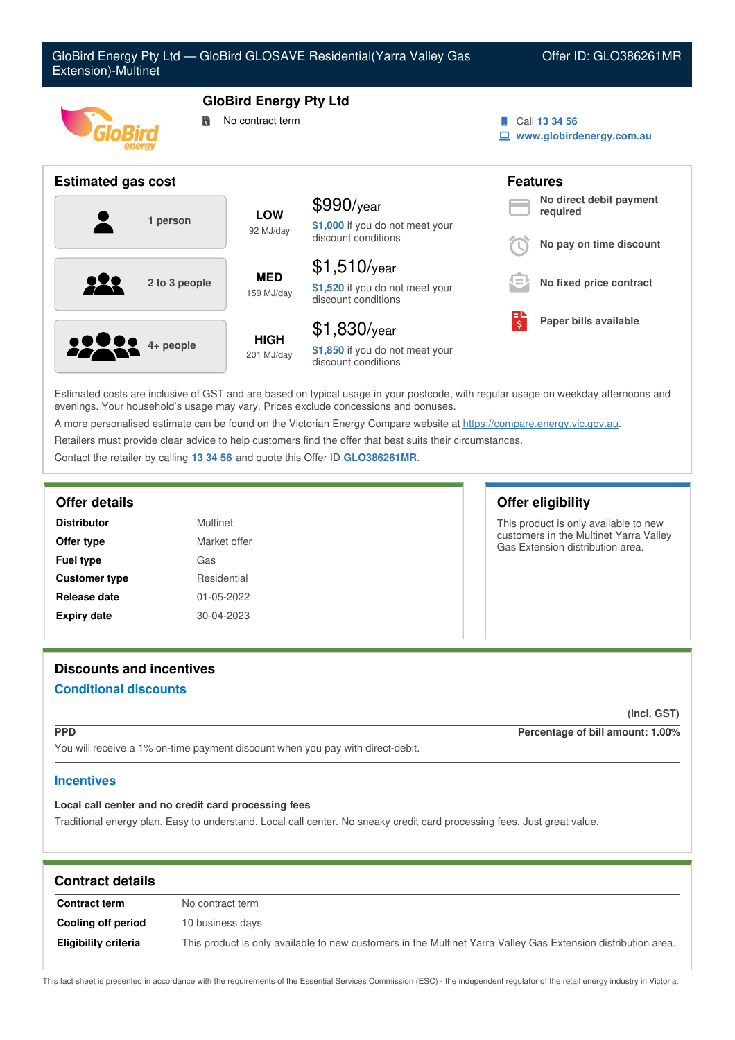

Estimated costs are inclusive of GST and are based on typical usage in your postcode, with regular usage on weekday afternoons and evenings. Your household's usage may vary. Prices exclude concessions and bonuses.

A more personalised estimate can be found on the Victorian Energy Compare website at <https://compare.energy.vic.gov.au>.

Retailers must provide clear advice to help customers find the offer that best suits their circumstances.

Contact the retailer by calling **13 34 56** and quote this Offer ID **GLO386261MR**.

### **Offer details Offer eligibility**

| <b>Distributor</b>   | Multinet         |
|----------------------|------------------|
| Offer type           | Market offer     |
| <b>Fuel type</b>     | Gas              |
| <b>Customer type</b> | Residential      |
| Release date         | 01-05-2022       |
| <b>Expiry date</b>   | $30 - 04 - 2023$ |

This product is only available to new customers in the Multinet Yarra Valley Gas Extension distribution area.

# **Discounts and incentives**

# **Conditional discounts**

**(incl. GST)**

**PPD Percentage of bill amount: 1.00%**

You will receive a 1% on-time payment discount when you pay with direct-debit.

# **Incentives**

# **Local call center and no credit card processing fees**

Traditional energy plan. Easy to understand. Local call center. No sneaky credit card processing fees. Just great value.

| <b>Contract details</b> |                                                                                                               |  |
|-------------------------|---------------------------------------------------------------------------------------------------------------|--|
| <b>Contract term</b>    | No contract term                                                                                              |  |
| Cooling off period      | 10 business days                                                                                              |  |
| Eligibility criteria    | This product is only available to new customers in the Multinet Yarra Valley Gas Extension distribution area. |  |

This fact sheet is presented in accordance with the requirements of the Essential Services Commission (ESC) - the independent regulator of the retail energy industry in Victoria.